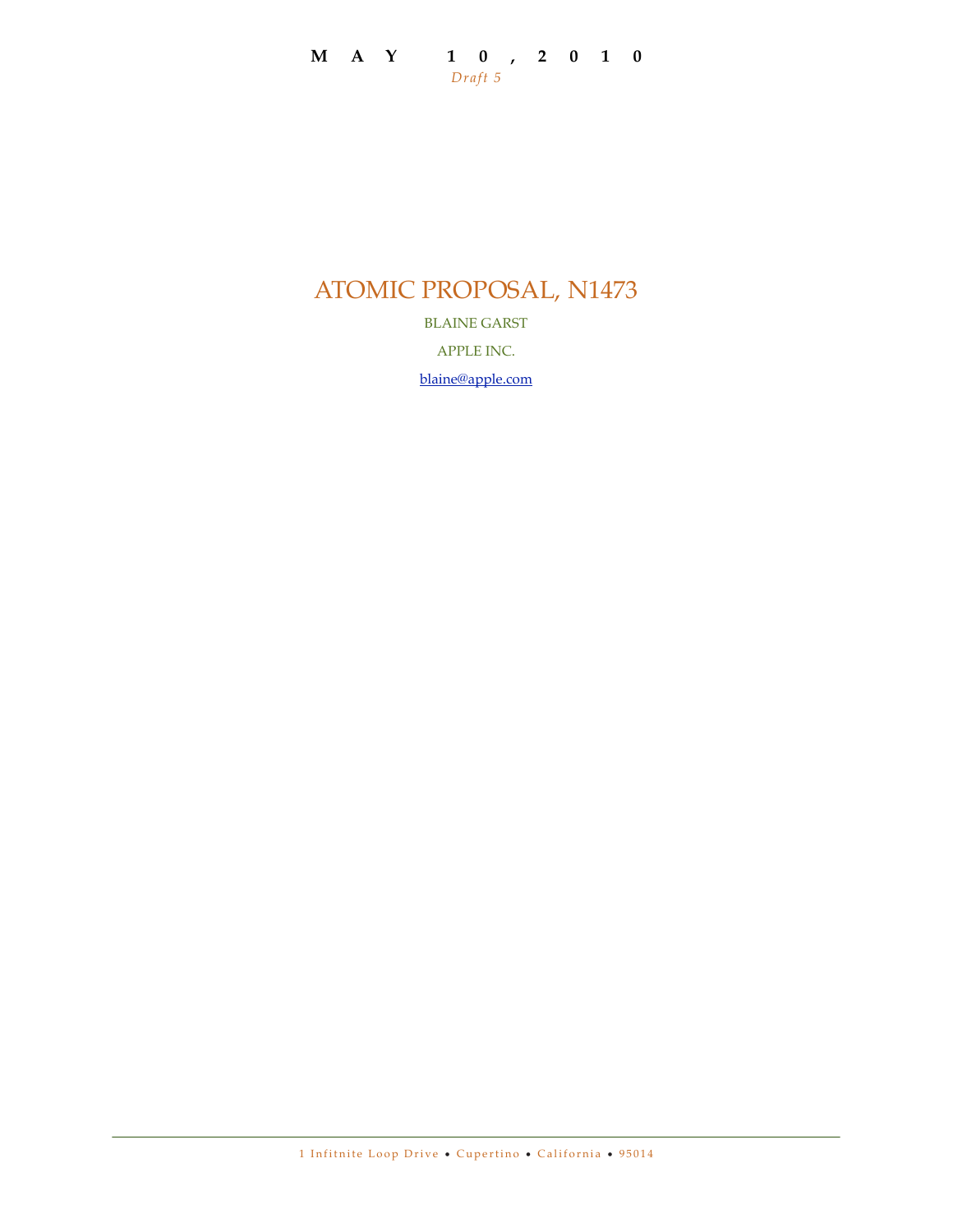# ATOMIC PROPOSAL, N1473

BLAINE GARST

APPLE INC.

[blaine@apple.com](mailto:blaine@apple.com)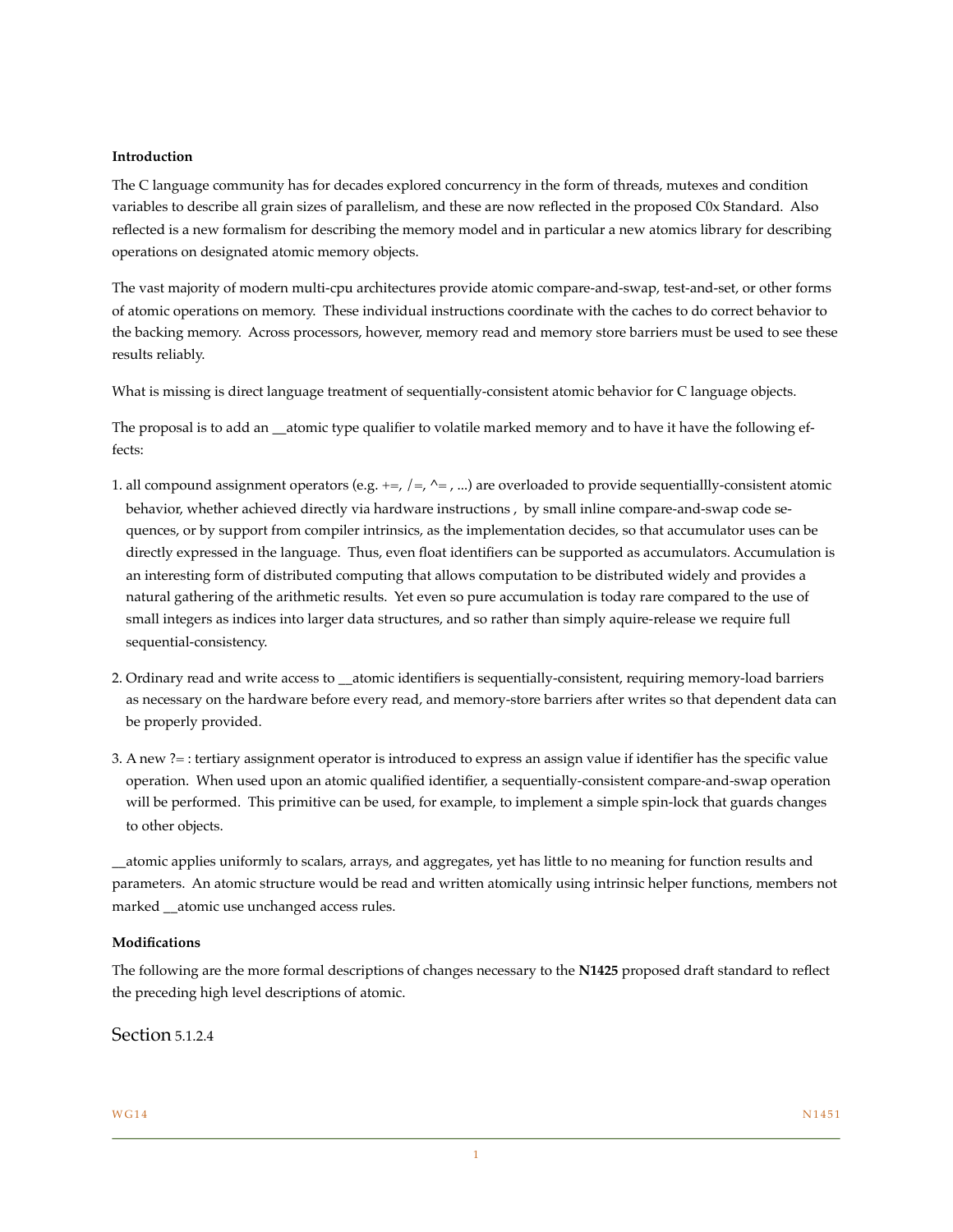#### **Introduction**

The C language community has for decades explored concurrency in the form of threads, mutexes and condition variables to describe all grain sizes of parallelism, and these are now reflected in the proposed C0x Standard. Also reflected is a new formalism for describing the memory model and in particular a new atomics library for describing operations on designated atomic memory objects.

The vast majority of modern multi-cpu architectures provide atomic compare-and-swap, test-and-set, or other forms of atomic operations on memory. These individual instructions coordinate with the caches to do correct behavior to the backing memory. Across processors, however, memory read and memory store barriers must be used to see these results reliably.

What is missing is direct language treatment of sequentially-consistent atomic behavior for C language objects.

The proposal is to add an \_\_atomic type qualifier to volatile marked memory and to have it have the following effects:

- 1. all compound assignment operators (e.g.  $+$  =,  $/$  =,  $\wedge$  =, ...) are overloaded to provide sequentially-consistent atomic behavior, whether achieved directly via hardware instructions , by small inline compare-and-swap code sequences, or by support from compiler intrinsics, as the implementation decides, so that accumulator uses can be directly expressed in the language. Thus, even float identifiers can be supported as accumulators. Accumulation is an interesting form of distributed computing that allows computation to be distributed widely and provides a natural gathering of the arithmetic results. Yet even so pure accumulation is today rare compared to the use of small integers as indices into larger data structures, and so rather than simply aquire-release we require full sequential-consistency.
- 2. Ordinary read and write access to atomic identifiers is sequentially-consistent, requiring memory-load barriers as necessary on the hardware before every read, and memory-store barriers after writes so that dependent data can be properly provided.
- 3. A new ?= : tertiary assignment operator is introduced to express an assign value if identifier has the specific value operation. When used upon an atomic qualified identifier, a sequentially-consistent compare-and-swap operation will be performed. This primitive can be used, for example, to implement a simple spin-lock that guards changes to other objects.

\_\_atomic applies uniformly to scalars, arrays, and aggregates, yet has little to no meaning for function results and parameters. An atomic structure would be read and written atomically using intrinsic helper functions, members not marked \_\_atomic use unchanged access rules.

#### **Modifications**

The following are the more formal descriptions of changes necessary to the **N1425** proposed draft standard to reflect the preceding high level descriptions of atomic.

### Section 5.1.2.4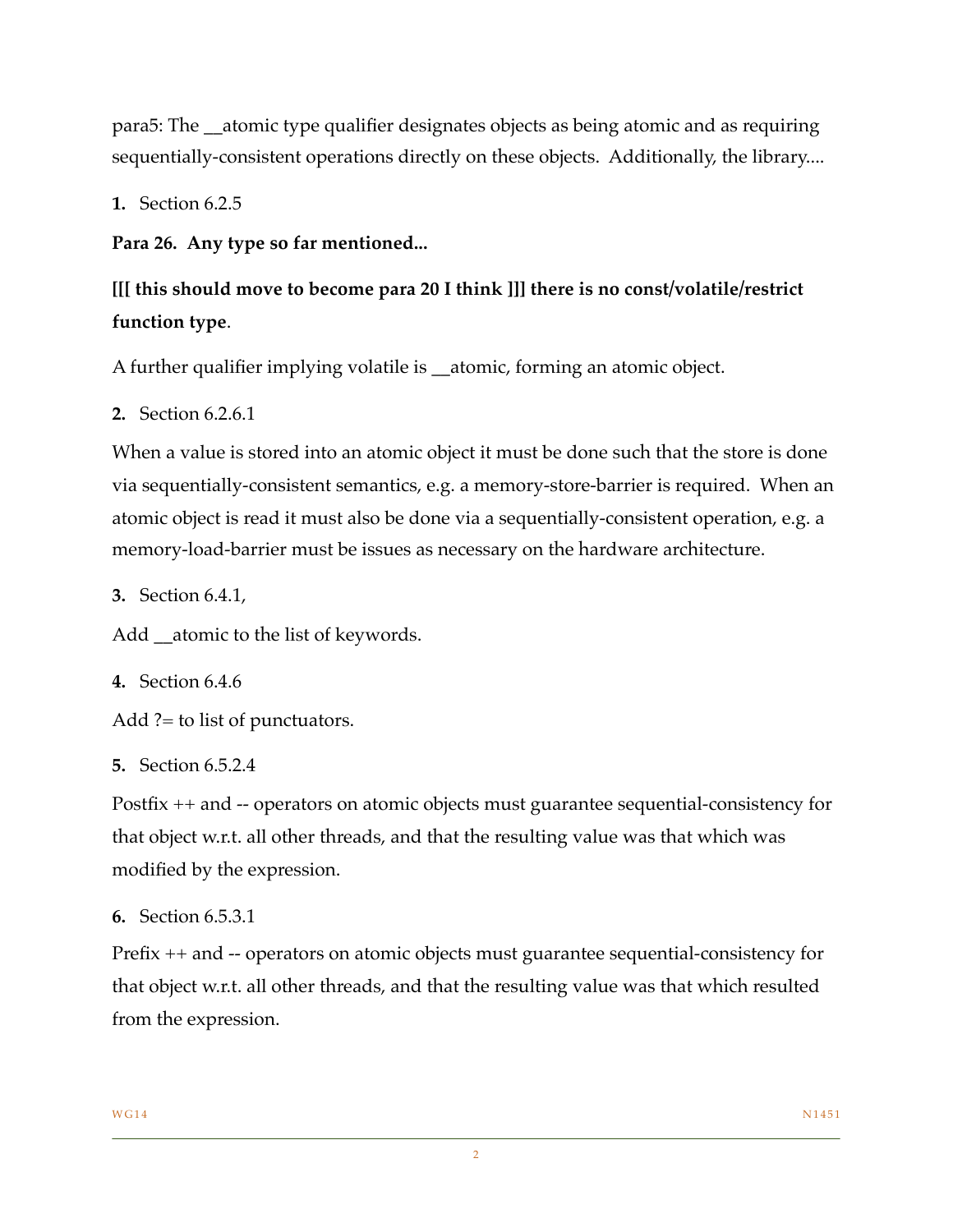para5: The \_\_atomic type qualifier designates objects as being atomic and as requiring sequentially-consistent operations directly on these objects. Additionally, the library....

**1.** Section 6.2.5

**Para 26. Any type so far mentioned...**

**[[[ this should move to become para 20 I think ]]] there is no const/volatile/restrict function type**.

A further qualifier implying volatile is \_\_atomic, forming an atomic object.

**2.** Section 6.2.6.1

When a value is stored into an atomic object it must be done such that the store is done via sequentially-consistent semantics, e.g. a memory-store-barrier is required. When an atomic object is read it must also be done via a sequentially-consistent operation, e.g. a memory-load-barrier must be issues as necessary on the hardware architecture.

**3.** Section 6.4.1,

Add atomic to the list of keywords.

**4.** Section 6.4.6

Add ?= to list of punctuators.

**5.** Section 6.5.2.4

Postfix ++ and -- operators on atomic objects must guarantee sequential-consistency for that object w.r.t. all other threads, and that the resulting value was that which was modified by the expression.

**6.** Section 6.5.3.1

Prefix ++ and -- operators on atomic objects must guarantee sequential-consistency for that object w.r.t. all other threads, and that the resulting value was that which resulted from the expression.